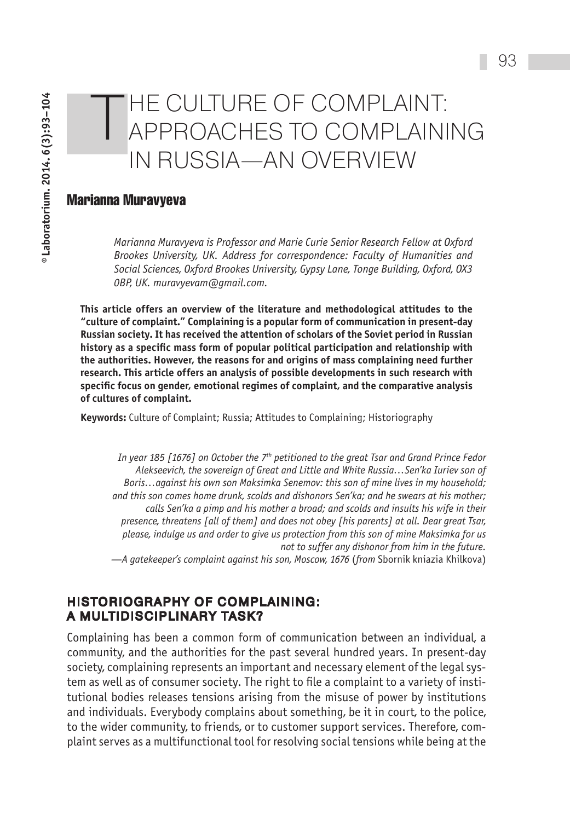# THE CULTURE OF COMPLAINT:<br>APPROACHES TO COMPLAINING in Russia—An Overview

### **Marianna Muravyeva**

*Marianna Muravyeva is Professor and Marie Curie Senior Research Fellow at Oxford Brookes University, UK. Address for correspondence: Faculty of Humanities and Social Sciences, Oxford Brookes University, Gypsy Lane, Tonge Building, Oxford, OX3 0BP, UK. muravyevam@gmail.com.*

**This article offers an overview of the literature and methodological attitudes to the "culture of complaint." Complaining is a popular form of communication in present-day Russian society. It has received the attention of scholars of the Soviet period in Russian history as a specific mass form of popular political participation and relationship with the authorities. However, the reasons for and origins of mass complaining need further research. This article offers an analysis of possible developments in such research with specific focus on gender, emotional regimes of complaint, and the comparative analysis of cultures of complaint.**

**Keywords:** Culture of Complaint; Russia; Attitudes to Complaining; Historiography

*In year 185 [1676] on October the 7th petitioned to the great Tsar and Grand Prince Fedor Alekseevich, the sovereign of Great and Little and White Russia…Sen'ka Iuriev son of Boris…against his own son Maksimka Senemov: this son of mine lives in my household; and this son comes home drunk, scolds and dishonors Sen'ka; and he swears at his mother; calls Sen'ka a pimp and his mother a broad; and scolds and insults his wife in their presence, threatens [all of them] and does not obey [his parents] at all. Dear great Tsar, please, indulge us and order to give us protection from this son of mine Maksimka for us not to suffer any dishonor from him in the future. —A gatekeeper's complaint against his son, Moscow, 1676* (*from* Sbornik kniazia Khilkova)

#### HISTORIOGRAPHY OF COMPLAINING: A Multidisciplinary Task?

Complaining has been a common form of communication between an individual, a community, and the authorities for the past several hundred years. In present-day society, complaining represents an important and necessary element of the legal system as well as of consumer society. The right to file a complaint to a variety of institutional bodies releases tensions arising from the misuse of power by institutions and individuals. Everybody complains about something, be it in court, to the police, to the wider community, to friends, or to customer support services. Therefore, complaint serves as a multifunctional tool for resolving social tensions while being at the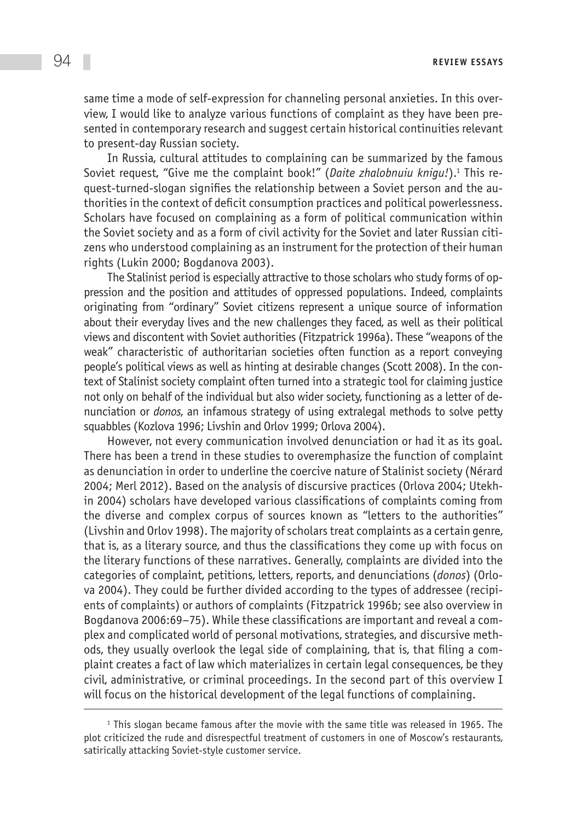same time a mode of self-expression for channeling personal anxieties. In this overview, I would like to analyze various functions of complaint as they have been presented in contemporary research and suggest certain historical continuities relevant to present-day Russian society.

In Russia, cultural attitudes to complaining can be summarized by the famous Soviet request, "Give me the complaint book!" (*Daite zhalobnuiu knigu!*).1 This request-turned-slogan signifies the relationship between a Soviet person and the authorities in the context of deficit consumption practices and political powerlessness. Scholars have focused on complaining as a form of political communication within the Soviet society and as a form of civil activity for the Soviet and later Russian citizens who understood complaining as an instrument for the protection of their human rights (Lukin 2000; Bogdanova 2003).

The Stalinist period is especially attractive to those scholars who study forms of oppression and the position and attitudes of oppressed populations. Indeed, complaints originating from "ordinary" Soviet citizens represent a unique source of information about their everyday lives and the new challenges they faced, as well as their political views and discontent with Soviet authorities (Fitzpatrick 1996a). These "weapons of the weak" characteristic of authoritarian societies often function as a report conveying people's political views as well as hinting at desirable changes (Scott 2008). In the context of Stalinist society complaint often turned into a strategic tool for claiming justice not only on behalf of the individual but also wider society, functioning as a letter of denunciation or *donos*, an infamous strategy of using extralegal methods to solve petty squabbles (Kozlova 1996; Livshin and Orlov 1999; Orlova 2004).

However, not every communication involved denunciation or had it as its goal. There has been a trend in these studies to overemphasize the function of complaint as denunciation in order to underline the coercive nature of Stalinist society (Nérard 2004; Merl 2012). Based on the analysis of discursive practices (Orlova 2004; Utekhin 2004) scholars have developed various classifications of complaints coming from the diverse and complex corpus of sources known as "letters to the authorities" (Livshin and Orlov 1998). The majority of scholars treat complaints as a certain genre, that is, as a literary source, and thus the classifications they come up with focus on the literary functions of these narratives. Generally, complaints are divided into the categories of complaint, petitions, letters, reports, and denunciations (*donos*) (Orlova 2004). They could be further divided according to the types of addressee (recipients of complaints) or authors of complaints (Fitzpatrick 1996b; see also overview in Bogdanova 2006:69–75). While these classifications are important and reveal a complex and complicated world of personal motivations, strategies, and discursive methods, they usually overlook the legal side of complaining, that is, that filing a complaint creates a fact of law which materializes in certain legal consequences, be they civil, administrative, or criminal proceedings. In the second part of this overview I will focus on the historical development of the legal functions of complaining.

<sup>1</sup> This slogan became famous after the movie with the same title was released in 1965. The plot criticized the rude and disrespectful treatment of customers in one of Moscow's restaurants, satirically attacking Soviet-style customer service.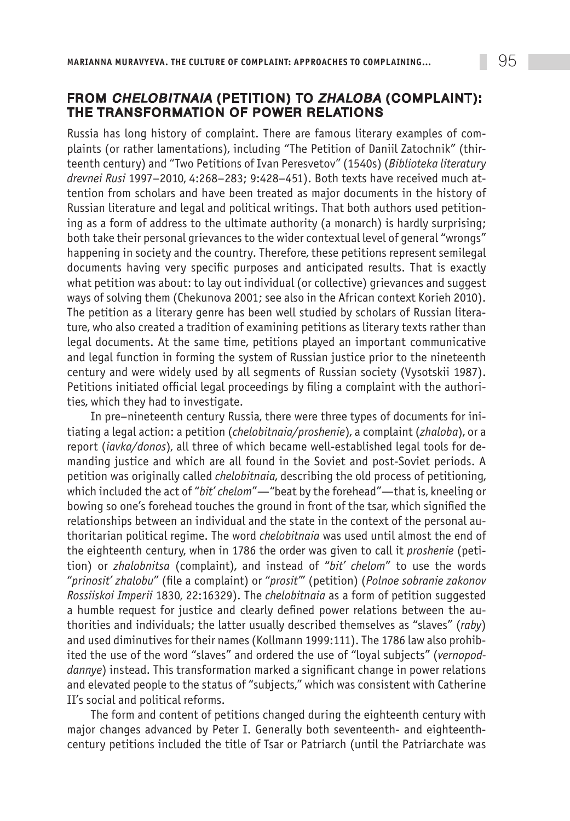#### FROM CHELOBITNAIA (PETITION) TO ZHALOBA (COMPLAINT): The Transformation of Power Relations

Russia has long history of complaint. There are famous literary examples of complaints (or rather lamentations), including "The Petition of Daniil Zatochnik" (thirteenth century) and "Two Petitions of Ivan Peresvetov" (1540s) (*Biblioteka literatury drevnei Rusi* 1997–2010, 4:268–283; 9:428–451). Both texts have received much attention from scholars and have been treated as major documents in the history of Russian literature and legal and political writings. That both authors used petitioning as a form of address to the ultimate authority (a monarch) is hardly surprising; both take their personal grievances to the wider contextual level of general "wrongs" happening in society and the country. Therefore, these petitions represent semilegal documents having very specific purposes and anticipated results. That is exactly what petition was about: to lay out individual (or collective) grievances and suggest ways of solving them (Chekunova 2001; see also in the African context Korieh 2010). The petition as a literary genre has been well studied by scholars of Russian literature, who also created a tradition of examining petitions as literary texts rather than legal documents. At the same time, petitions played an important communicative and legal function in forming the system of Russian justice prior to the nineteenth century and were widely used by all segments of Russian society (Vysotskii 1987). Petitions initiated official legal proceedings by filing a complaint with the authorities, which they had to investigate.

In pre–nineteenth century Russia, there were three types of documents for initiating a legal action: a petition (*chelobitnaia/proshenie*), a complaint (*zhaloba*), or a report (*iavka/donos*), all three of which became well-established legal tools for demanding justice and which are all found in the Soviet and post-Soviet periods. A petition was originally called *chelobitnaia*, describing the old process of petitioning, which included the act of "*bit' chelom*"—"beat by the forehead"—that is, kneeling or bowing so one's forehead touches the ground in front of the tsar, which signified the relationships between an individual and the state in the context of the personal authoritarian political regime. The word *chelobitnaia* was used until almost the end of the eighteenth century, when in 1786 the order was given to call it *proshenie* (petition) or *zhalobnitsa* (complaint), and instead of "*bit' chelom*" to use the words "*prinosit' zhalobu*" (file a complaint) or "*prosit'*" (petition) (*Polnoe sobranie zakonov Rossiiskoi Imperii* 1830, 22:16329). The *chelobitnaia* as a form of petition suggested a humble request for justice and clearly defined power relations between the authorities and individuals; the latter usually described themselves as "slaves" (*raby*) and used diminutives for their names (Kollmann 1999:111). The 1786 law also prohibited the use of the word "slaves" and ordered the use of "loyal subjects" (*vernopoddannye*) instead. This transformation marked a significant change in power relations and elevated people to the status of "subjects," which was consistent with Catherine II's social and political reforms.

The form and content of petitions changed during the eighteenth century with major changes advanced by Peter I. Generally both seventeenth- and eighteenthcentury petitions included the title of Tsar or Patriarch (until the Patriarchate was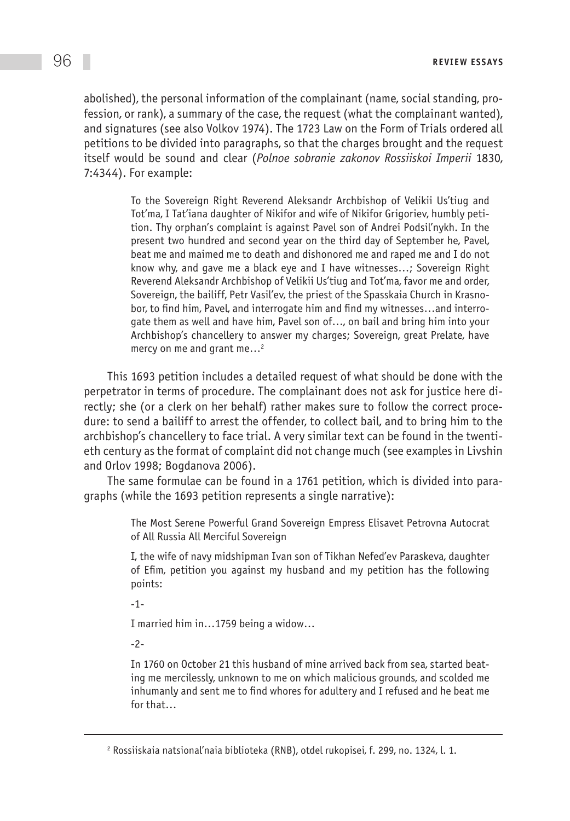abolished), the personal information of the complainant (name, social standing, profession, or rank), a summary of the case, the request (what the complainant wanted), and signatures (see also Volkov 1974). The 1723 Law on the Form of Trials ordered all petitions to be divided into paragraphs, so that the charges brought and the request itself would be sound and clear (*Polnoe sobranie zakonov Rossiiskoi Imperii* 1830, 7:4344). For example:

> To the Sovereign Right Reverend Aleksandr Archbishop of Velikii Us'tiug and Tot'ma, I Tat'iana daughter of Nikifor and wife of Nikifor Grigoriev, humbly petition. Thy orphan's complaint is against Pavel son of Andrei Podsil'nykh. In the present two hundred and second year on the third day of September he, Pavel, beat me and maimed me to death and dishonored me and raped me and I do not know why, and gave me a black eye and I have witnesses…; Sovereign Right Reverend Aleksandr Archbishop of Velikii Us'tiug and Tot'ma, favor me and order, Sovereign, the bailiff, Petr Vasil'ev, the priest of the Spasskaia Church in Krasnobor, to find him, Pavel, and interrogate him and find my witnesses…and interrogate them as well and have him, Pavel son of…, on bail and bring him into your Archbishop's chancellery to answer my charges; Sovereign, great Prelate, have mercy on me and grant me…2

This 1693 petition includes a detailed request of what should be done with the perpetrator in terms of procedure. The complainant does not ask for justice here directly; she (or a clerk on her behalf) rather makes sure to follow the correct procedure: to send a bailiff to arrest the offender, to collect bail, and to bring him to the archbishop's chancellery to face trial. A very similar text can be found in the twentieth century as the format of complaint did not change much (see examples in Livshin and Orlov 1998; Bogdanova 2006).

The same formulae can be found in a 1761 petition, which is divided into paragraphs (while the 1693 petition represents a single narrative):

> The Most Serene Powerful Grand Sovereign Empress Elisavet Petrovna Autocrat of All Russia All Merciful Sovereign

> I, the wife of navy midshipman Ivan son of Tikhan Nefed'ev Paraskeva, daughter of Efim, petition you against my husband and my petition has the following points:

-1-

I married him in…1759 being a widow…

-2-

In 1760 on October 21 this husband of mine arrived back from sea, started beating me mercilessly, unknown to me on which malicious grounds, and scolded me inhumanly and sent me to find whores for adultery and I refused and he beat me for that…

<sup>2</sup> Rossiiskaia natsional'naia biblioteka (RNB), otdel rukopisei, f. 299, no. 1324, l. 1.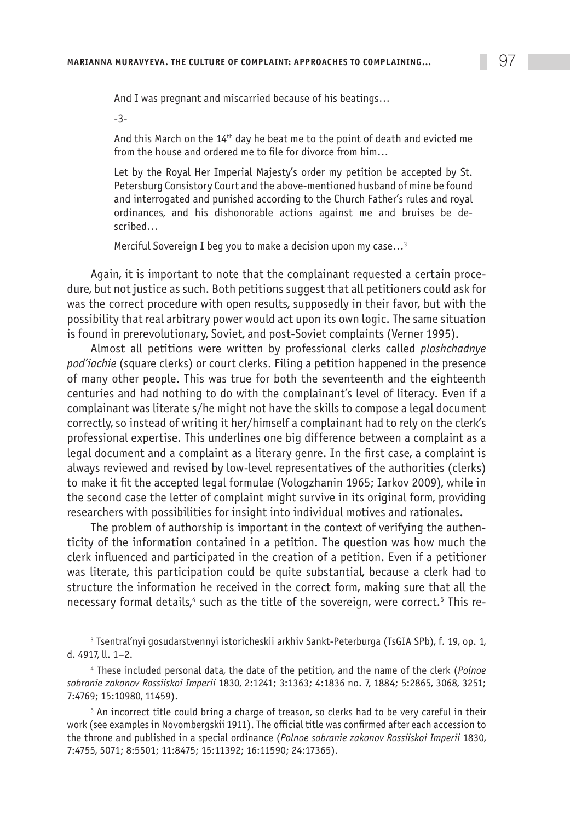And I was pregnant and miscarried because of his beatings…

-3-

And this March on the 14th day he beat me to the point of death and evicted me from the house and ordered me to file for divorce from him…

Let by the Royal Her Imperial Majesty's order my petition be accepted by St. Petersburg Consistory Court and the above-mentioned husband of mine be found and interrogated and punished according to the Church Father's rules and royal ordinances, and his dishonorable actions against me and bruises be described…

Merciful Sovereign I beg you to make a decision upon my case...<sup>3</sup>

Again, it is important to note that the complainant requested a certain procedure, but not justice as such. Both petitions suggest that all petitioners could ask for was the correct procedure with open results, supposedly in their favor, but with the possibility that real arbitrary power would act upon its own logic. The same situation is found in prerevolutionary, Soviet, and post-Soviet complaints (Verner 1995).

Almost all petitions were written by professional clerks called *ploshchadnye pod'iachie* (square clerks) or court clerks. Filing a petition happened in the presence of many other people. This was true for both the seventeenth and the eighteenth centuries and had nothing to do with the complainant's level of literacy. Even if a complainant was literate s/he might not have the skills to compose a legal document correctly, so instead of writing it her/himself a complainant had to rely on the clerk's professional expertise. This underlines one big difference between a complaint as a legal document and a complaint as a literary genre. In the first case, a complaint is always reviewed and revised by low-level representatives of the authorities (clerks) to make it fit the accepted legal formulae (Vologzhanin 1965; Iarkov 2009), while in the second case the letter of complaint might survive in its original form, providing researchers with possibilities for insight into individual motives and rationales.

The problem of authorship is important in the context of verifying the authenticity of the information contained in a petition. The question was how much the clerk influenced and participated in the creation of a petition. Even if a petitioner was literate, this participation could be quite substantial, because a clerk had to structure the information he received in the correct form, making sure that all the necessary formal details,<sup>4</sup> such as the title of the sovereign, were correct.<sup>5</sup> This re-

<sup>3</sup> Tsentral'nyi gosudarstvennyi istoricheskii arkhiv Sankt-Peterburga (TsGIA SPb), f. 19, op. 1, d. 4917, ll. 1–2.

<sup>4</sup> These included personal data, the date of the petition, and the name of the clerk (*Polnoe sobranie zakonov Rossiiskoi Imperii* 1830, 2:1241; 3:1363; 4:1836 no. 7, 1884; 5:2865, 3068, 3251; 7:4769; 15:10980, 11459).

<sup>5</sup> An incorrect title could bring a charge of treason, so clerks had to be very careful in their work (see examples in Novombergskii 1911). The official title was confirmed after each accession to the throne and published in a special ordinance (*Polnoe sobranie zakonov Rossiiskoi Imperii* 1830, 7:4755, 5071; 8:5501; 11:8475; 15:11392; 16:11590; 24:17365).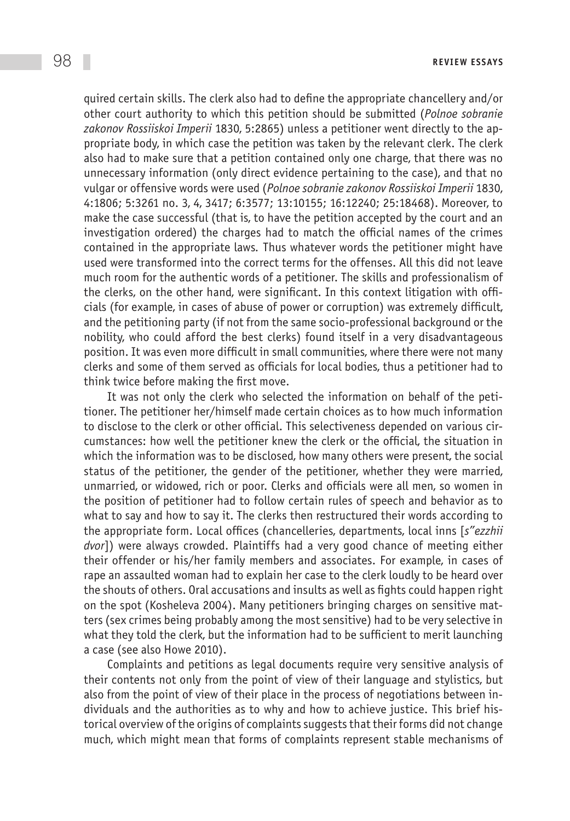quired certain skills. The clerk also had to define the appropriate chancellery and/or other court authority to which this petition should be submitted (*Polnoe sobranie zakonov Rossiiskoi Imperii* 1830, 5:2865) unless a petitioner went directly to the appropriate body, in which case the petition was taken by the relevant clerk. The clerk also had to make sure that a petition contained only one charge, that there was no unnecessary information (only direct evidence pertaining to the case), and that no vulgar or offensive words were used (*Polnoe sobranie zakonov Rossiiskoi Imperii* 1830, 4:1806; 5:3261 no. 3, 4, 3417; 6:3577; 13:10155; 16:12240; 25:18468). Moreover, to make the case successful (that is, to have the petition accepted by the court and an investigation ordered) the charges had to match the official names of the crimes contained in the appropriate laws*.* Thus whatever words the petitioner might have used were transformed into the correct terms for the offenses. All this did not leave much room for the authentic words of a petitioner. The skills and professionalism of the clerks, on the other hand, were significant. In this context litigation with officials (for example, in cases of abuse of power or corruption) was extremely difficult, and the petitioning party (if not from the same socio-professional background or the nobility, who could afford the best clerks) found itself in a very disadvantageous position. It was even more difficult in small communities, where there were not many clerks and some of them served as officials for local bodies, thus a petitioner had to think twice before making the first move.

It was not only the clerk who selected the information on behalf of the petitioner. The petitioner her/himself made certain choices as to how much information to disclose to the clerk or other official. This selectiveness depended on various circumstances: how well the petitioner knew the clerk or the official, the situation in which the information was to be disclosed, how many others were present, the social status of the petitioner, the gender of the petitioner, whether they were married, unmarried, or widowed, rich or poor. Clerks and officials were all men, so women in the position of petitioner had to follow certain rules of speech and behavior as to what to say and how to say it. The clerks then restructured their words according to the appropriate form. Local offices (chancelleries, departments, local inns [*s"ezzhii dvor*]) were always crowded. Plaintiffs had a very good chance of meeting either their offender or his/her family members and associates. For example, in cases of rape an assaulted woman had to explain her case to the clerk loudly to be heard over the shouts of others. Oral accusations and insults as well as fights could happen right on the spot (Kosheleva 2004). Many petitioners bringing charges on sensitive matters (sex crimes being probably among the most sensitive) had to be very selective in what they told the clerk, but the information had to be sufficient to merit launching a case (see also Howe 2010).

Complaints and petitions as legal documents require very sensitive analysis of their contents not only from the point of view of their language and stylistics, but also from the point of view of their place in the process of negotiations between individuals and the authorities as to why and how to achieve justice. This brief historical overview of the origins of complaints suggests that their forms did not change much, which might mean that forms of complaints represent stable mechanisms of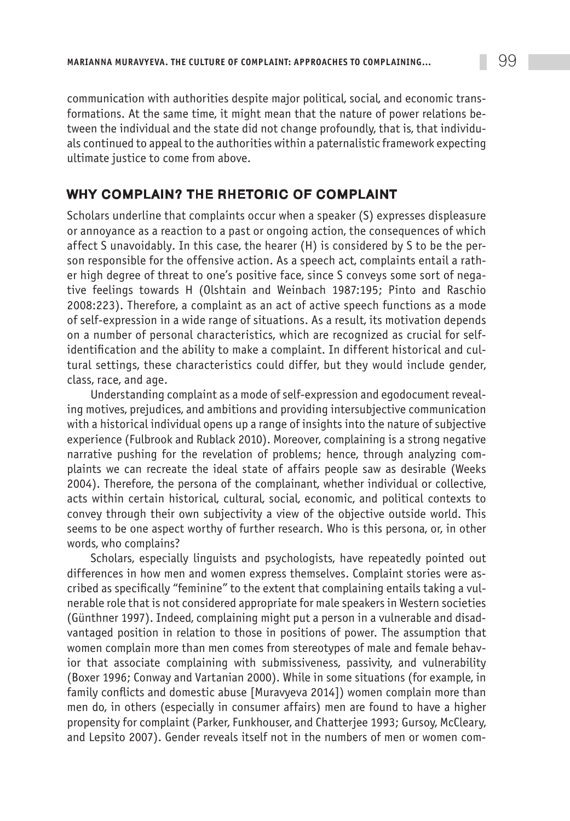communication with authorities despite major political, social, and economic transformations. At the same time, it might mean that the nature of power relations between the individual and the state did not change profoundly, that is, that individuals continued to appeal to the authorities within a paternalistic framework expecting ultimate justice to come from above.

### Why Complain? The Rhetoric of Complaint

Scholars underline that complaints occur when a speaker (S) expresses displeasure or annoyance as a reaction to a past or ongoing action, the consequences of which affect S unavoidably. In this case, the hearer (H) is considered by S to be the person responsible for the offensive action. As a speech act, complaints entail a rather high degree of threat to one's positive face, since S conveys some sort of negative feelings towards H (Olshtain and Weinbach 1987:195; Pinto and Raschio 2008:223). Therefore, a complaint as an act of active speech functions as a mode of self-expression in a wide range of situations. As a result, its motivation depends on a number of personal characteristics, which are recognized as crucial for selfidentification and the ability to make a complaint. In different historical and cultural settings, these characteristics could differ, but they would include gender, class, race, and age.

Understanding complaint as a mode of self-expression and egodocument revealing motives, prejudices, and ambitions and providing intersubjective communication with a historical individual opens up a range of insights into the nature of subjective experience (Fulbrook and Rublack 2010). Moreover, complaining is a strong negative narrative pushing for the revelation of problems; hence, through analyzing complaints we can recreate the ideal state of affairs people saw as desirable (Weeks 2004). Therefore, the persona of the complainant, whether individual or collective, acts within certain historical, cultural, social, economic, and political contexts to convey through their own subjectivity a view of the objective outside world. This seems to be one aspect worthy of further research. Who is this persona, or, in other words, who complains?

Scholars, especially linguists and psychologists, have repeatedly pointed out differences in how men and women express themselves. Complaint stories were ascribed as specifically "feminine" to the extent that complaining entails taking a vulnerable role that is not considered appropriate for male speakers in Western societies (Günthner 1997). Indeed, complaining might put a person in a vulnerable and disadvantaged position in relation to those in positions of power. The assumption that women complain more than men comes from stereotypes of male and female behavior that associate complaining with submissiveness, passivity, and vulnerability (Boxer 1996; Conway and Vartanian 2000). While in some situations (for example, in family conflicts and domestic abuse [Muravyeva 2014]) women complain more than men do, in others (especially in consumer affairs) men are found to have a higher propensity for complaint (Parker, Funkhouser, and Chatterjee 1993; Gursoy, McCleary, and Lepsito 2007). Gender reveals itself not in the numbers of men or women com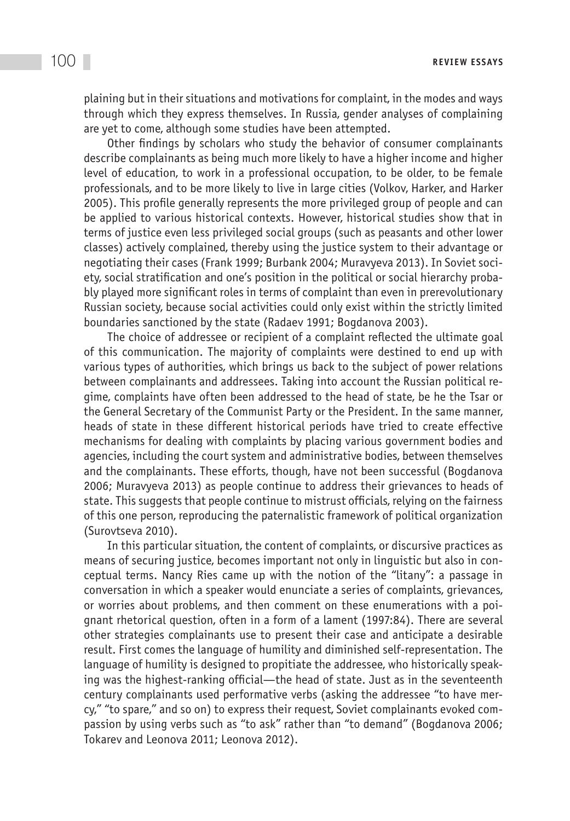100 **Review Essays**

plaining but in their situations and motivations for complaint, in the modes and ways through which they express themselves. In Russia, gender analyses of complaining are yet to come, although some studies have been attempted.

Other findings by scholars who study the behavior of consumer complainants describe complainants as being much more likely to have a higher income and higher level of education, to work in a professional occupation, to be older, to be female professionals, and to be more likely to live in large cities (Volkov, Harker, and Harker 2005). This profile generally represents the more privileged group of people and can be applied to various historical contexts. However, historical studies show that in terms of justice even less privileged social groups (such as peasants and other lower classes) actively complained, thereby using the justice system to their advantage or negotiating their cases (Frank 1999; Burbank 2004; Muravyeva 2013). In Soviet society, social stratification and one's position in the political or social hierarchy probably played more significant roles in terms of complaint than even in prerevolutionary Russian society, because social activities could only exist within the strictly limited boundaries sanctioned by the state (Radaev 1991; Bogdanova 2003).

The choice of addressee or recipient of a complaint reflected the ultimate goal of this communication. The majority of complaints were destined to end up with various types of authorities, which brings us back to the subject of power relations between complainants and addressees. Taking into account the Russian political regime, complaints have often been addressed to the head of state, be he the Tsar or the General Secretary of the Communist Party or the President. In the same manner, heads of state in these different historical periods have tried to create effective mechanisms for dealing with complaints by placing various government bodies and agencies, including the court system and administrative bodies, between themselves and the complainants. These efforts, though, have not been successful (Bogdanova 2006; Muravyeva 2013) as people continue to address their grievances to heads of state. This suggests that people continue to mistrust officials, relying on the fairness of this one person, reproducing the paternalistic framework of political organization (Surovtseva 2010).

In this particular situation, the content of complaints, or discursive practices as means of securing justice, becomes important not only in linguistic but also in conceptual terms. Nancy Ries came up with the notion of the "litany": a passage in conversation in which a speaker would enunciate a series of complaints, grievances, or worries about problems, and then comment on these enumerations with a poignant rhetorical question, often in a form of a lament (1997:84). There are several other strategies complainants use to present their case and anticipate a desirable result. First comes the language of humility and diminished self-representation. The language of humility is designed to propitiate the addressee, who historically speaking was the highest-ranking official—the head of state. Just as in the seventeenth century complainants used performative verbs (asking the addressee "to have mercy," "to spare," and so on) to express their request, Soviet complainants evoked compassion by using verbs such as "to ask" rather than "to demand" (Bogdanova 2006; Tokarev and Leonova 2011; Leonova 2012).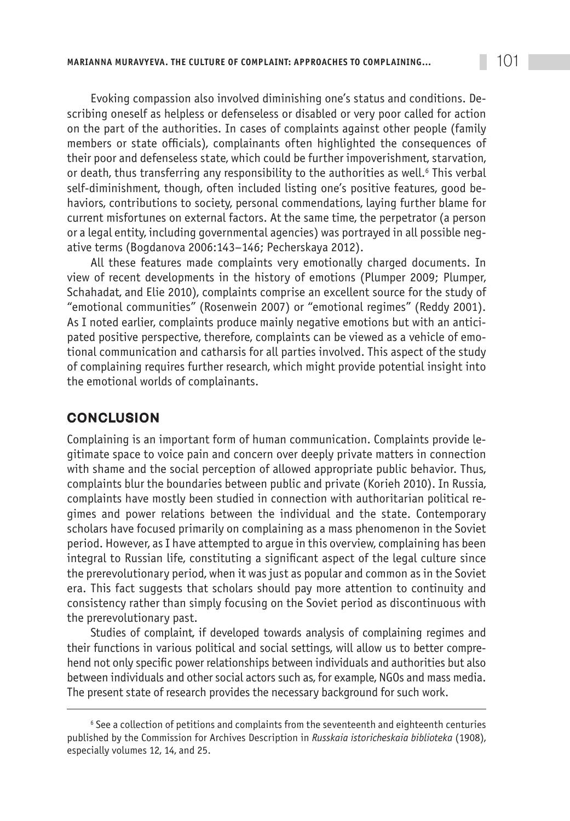Evoking compassion also involved diminishing one's status and conditions. Describing oneself as helpless or defenseless or disabled or very poor called for action on the part of the authorities. In cases of complaints against other people (family members or state officials), complainants often highlighted the consequences of their poor and defenseless state, which could be further impoverishment, starvation, or death, thus transferring any responsibility to the authorities as well.6 This verbal self-diminishment, though, often included listing one's positive features, good behaviors, contributions to society, personal commendations, laying further blame for current misfortunes on external factors. At the same time, the perpetrator (a person or a legal entity, including governmental agencies) was portrayed in all possible negative terms (Bogdanova 2006:143–146; Pecherskaya 2012).

All these features made complaints very emotionally charged documents. In view of recent developments in the history of emotions (Plumper 2009; Plumper, Schahadat, and Elie 2010), complaints comprise an excellent source for the study of "emotional communities" (Rosenwein 2007) or "emotional regimes" (Reddy 2001). As I noted earlier, complaints produce mainly negative emotions but with an anticipated positive perspective, therefore, complaints can be viewed as a vehicle of emotional communication and catharsis for all parties involved. This aspect of the study of complaining requires further research, which might provide potential insight into the emotional worlds of complainants.

#### **CONCLUSION**

Complaining is an important form of human communication. Complaints provide legitimate space to voice pain and concern over deeply private matters in connection with shame and the social perception of allowed appropriate public behavior. Thus, complaints blur the boundaries between public and private (Korieh 2010). In Russia, complaints have mostly been studied in connection with authoritarian political regimes and power relations between the individual and the state. Contemporary scholars have focused primarily on complaining as a mass phenomenon in the Soviet period. However, as I have attempted to argue in this overview, complaining has been integral to Russian life, constituting a significant aspect of the legal culture since the prerevolutionary period, when it was just as popular and common as in the Soviet era. This fact suggests that scholars should pay more attention to continuity and consistency rather than simply focusing on the Soviet period as discontinuous with the prerevolutionary past.

Studies of complaint, if developed towards analysis of complaining regimes and their functions in various political and social settings, will allow us to better comprehend not only specific power relationships between individuals and authorities but also between individuals and other social actors such as, for example, NGOs and mass media. The present state of research provides the necessary background for such work.

<sup>6</sup> See a collection of petitions and complaints from the seventeenth and eighteenth centuries published by the Commission for Archives Description in *Russkaia istoricheskaia biblioteka* (1908), especially volumes 12, 14, and 25.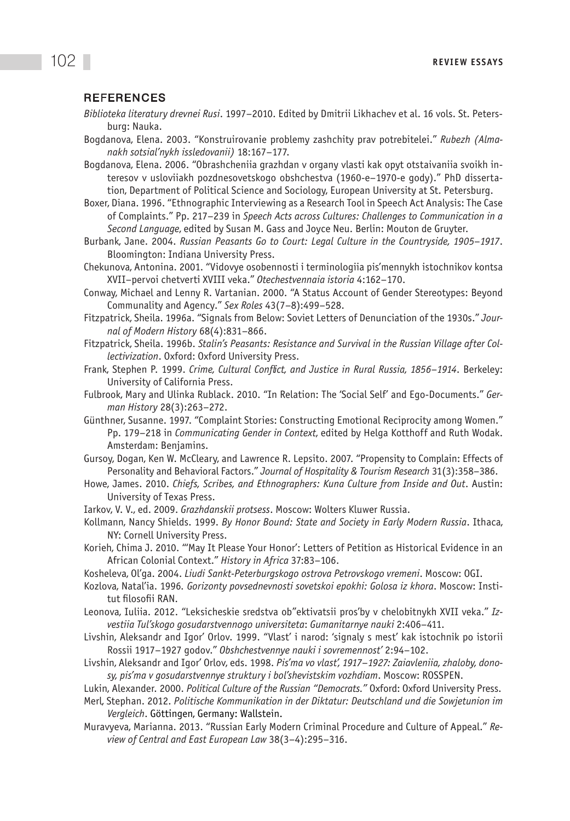#### **REFERENCES**

- *Biblioteka literatury drevnei Rusi*. 1997–2010. Edited by Dmitrii Likhachev et al. 16 vols. St. Petersburg: Nauka.
- Bogdanova, Elena. 2003. "Konstruirovanie problemy zashchity prav potrebitelei." *Rubezh (Almanakh sotsial'nykh issledovanii)* 18:167–177.
- Bogdanova, Elena. 2006. "Obrashcheniia grazhdan v organy vlasti kak opyt otstaivaniia svoikh interesov v usloviiakh pozdnesovetskogo obshchestva (1960-e–1970-e gody)." PhD dissertation, Department of Political Science and Sociology, European University at St. Petersburg.
- Boxer, Diana. 1996. "Ethnographic Interviewing as a Research Tool in Speech Act Analysis: The Case of Complaints." Pp. 217–239 in *Speech Acts across Cultures: Challenges to Communication in a Second Language*, edited by Susan M. Gass and Joyce Neu. Berlin: Mouton de Gruyter.
- Burbank, Jane. 2004. *Russian Peasants Go to Court: Legal Culture in the Countryside, 1905*–*1917*. Bloomington: Indiana University Press.
- Chekunova, Antonina. 2001. "Vidovye osobennosti i terminologiia pis'mennykh istochnikov kontsa XVII–pervoi chetverti XVIII veka." *Otechestvennaia istoria* 4:162–170.
- Conway, Michael and Lenny R. Vartanian. 2000. "A Status Account of Gender Stereotypes: Beyond Communality and Agency." *Sex Roles* 43(7–8):499–528.
- Fitzpatrick, Sheila. 1996a. "Signals from Below: Soviet Letters of Denunciation of the 1930s." *Journal of Modern History* 68(4):831–866.
- Fitzpatrick, Sheila. 1996b. *Stalin's Peasants: Resistance and Survival in the Russian Village after Collectivization*. Oxford: Oxford University Press.
- Frank, Stephen P. 1999. *Crime, Cultural Conflict, and Justice in Rural Russia, 1856*–*1914*. Berkeley: University of California Press.
- Fulbrook, Mary and Ulinka Rublack. 2010. "In Relation: The 'Social Self' and Ego-Documents." *German History* 28(3):263–272.
- Günthner, Susanne. 1997. "Complaint Stories: Constructing Emotional Reciprocity among Women." Pp. 179–218 in *Communicating Gender in Context*, edited by Helga Kotthoff and Ruth Wodak. Amsterdam: Benjamins.
- Gursoy, Dogan, Ken W. McCleary, and Lawrence R. Lepsito. 2007. "Propensity to Complain: Effects of Personality and Behavioral Factors." *Journal of Hospitality & Tourism Research* 31(3):358–386.
- Howe, James. 2010. *Chiefs, Scribes, and Ethnographers: Kuna Culture from Inside and Out*. Austin: University of Texas Press.
- Iarkov, V. V., ed. 2009. *Grazhdanskii protsess*. Moscow: Wolters Kluwer Russia.
- Kollmann, Nancy Shields. 1999. *By Honor Bound: State and Society in Early Modern Russia*. Ithaca, NY: Cornell University Press.
- Korieh, Chima J. 2010. "'May It Please Your Honor': Letters of Petition as Historical Evidence in an African Colonial Context." *History in Africa* 37:83–106.
- Kosheleva, Ol'ga. 2004. *Liudi Sankt-Peterburgskogo ostrova Petrovskogo vremeni*. Moscow: OGI.
- Kozlova, Natal'ia. 1996*. Gorizonty povsednevnosti sovetskoi epokhi: Golosa iz khora*. Moscow: Institut filosofii RAN.
- Leonova, Iuliia. 2012. "Leksicheskie sredstva ob"ektivatsii pros'by v chelobitnykh XVII veka." *Izvestiia Tul'skogo gosudarstvennogo universiteta*: *Gumanitarnye nauki* 2:406–411.
- Livshin, Aleksandr and Igor' Orlov. 1999. "Vlast' i narod: 'signaly s mest' kak istochnik po istorii Rossii 1917–1927 godov." *Obshchestvennye nauki i sovremennost'* 2:94–102.
- Livshin, Aleksandr and Igor' Orlov, eds. 1998. *Pis'ma vo vlast', 1917*–*1927: Zaiavleniia, zhaloby, donosy, pis'ma v gosudarstvennye struktury i bol'shevistskim vozhdiam*. Moscow: ROSSPEN.
- Lukin, Alexander. 2000. *Political Culture of the Russian "Democrats."* Oxford: Oxford University Press.
- Merl, Stephan. 2012. *Politische Kommunikation in der Diktatur: Deutschland und die Sowjetunion im Vergleich*. Göttingen, Germany: Wallstein.
- Muravyeva, Marianna. 2013. "Russian Early Modern Criminal Procedure and Culture of Appeal." *Review of Central and East European Law* 38(3–4):295–316.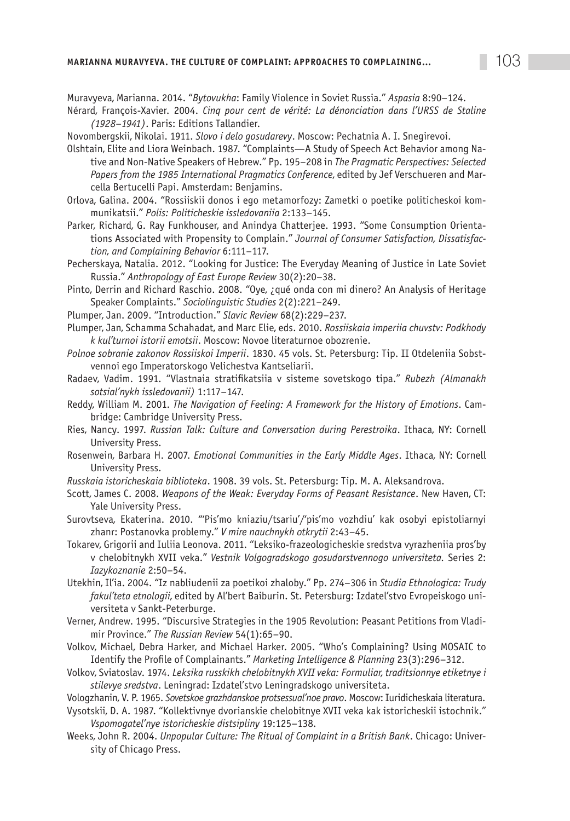Muravyeva, Marianna. 2014. "*Bytovukha*: Family Violence in Soviet Russia." *Aspasia* 8:90–124.

Nérard, François-Xavier. 2004. *Cinq pour cent de vérité: La dénonciation dans l'URSS de Staline (1928*–*1941)*. Paris: Editions Tallandier.

Novombergskii, Nikolai. 1911. *Slovo i delo gosudarevy*. Moscow: Pechatnia A. I. Snegirevoi.

- Olshtain, Elite and Liora Weinbach. 1987. "Complaints—A Study of Speech Act Behavior among Native and Non-Native Speakers of Hebrew." Pp. 195–208 in *The Pragmatic Perspectives: Selected Papers from the 1985 International Pragmatics Conference*, edited by Jef Verschueren and Marcella Bertucelli Papi. Amsterdam: Benjamins.
- Orlova, Galina. 2004. "Rossiiskii donos i ego metamorfozy: Zametki o poetike politicheskoi kommunikatsii." *Polis: Politicheskie issledovaniia* 2:133–145.
- Parker, Richard, G. Ray Funkhouser, and Anindya Chatterjee. 1993. "Some Consumption Orientations Associated with Propensity to Complain." *Journal of Consumer Satisfaction, Dissatisfaction, and Complaining Behavior* 6:111–117.
- Pecherskaya, Natalia. 2012. "Looking for Justice: The Everyday Meaning of Justice in Late Soviet Russia." *Anthropology of East Europe Review* 30(2):20–38.
- Pinto, Derrin and Richard Raschio. 2008. "Oye, ¿qué onda con mi dinero? An Analysis of Heritage Speaker Complaints." *Sociolinguistic Studies* 2(2):221–249.
- Plumper, Jan. 2009. "Introduction." *Slavic Review* 68(2):229–237.
- Plumper, Jan, Schamma Schahadat, and Marc Elie, eds. 2010. *Rossiiskaia imperiia chuvstv: Podkhody k kul'turnoi istorii emotsii*. Moscow: Novoe literaturnoe obozrenie.
- *Polnoe sobranie zakonov Rossiiskoi Imperii*. 1830. 45 vols. St. Petersburg: Tip. II Otdeleniia Sobstvennoi ego Imperatorskogo Velichestva Kantseliarii.
- Radaev, Vadim. 1991. "Vlastnaia stratifikatsiia v sisteme sovetskogo tipa." *Rubezh (Almanakh sotsial'nykh issledovanii)* 1:117–147.
- Reddy, William M. 2001. *The Navigation of Feeling: A Framework for the History of Emotions*. Cambridge: Cambridge University Press.
- Ries, Nancy. 1997. *Russian Talk: Culture and Conversation during Perestroika*. Ithaca, NY: Cornell University Press.
- Rosenwein, Barbara H. 2007. *Emotional Communities in the Early Middle Ages*. Ithaca, NY: Cornell University Press.
- *Russkaia istoricheskaia biblioteka*. 1908. 39 vols. St. Petersburg: Tip. M. A. Aleksandrova.
- Scott, James C. 2008. *Weapons of the Weak: Everyday Forms of Peasant Resistance*. New Haven, CT: Yale University Press.
- Surovtseva, Ekaterina. 2010. "'Pis'mo kniaziu/tsariu'/'pis'mo vozhdiu' kak osobyi epistoliarnyi zhanr: Postanovka problemy." *V mire nauchnykh otkrytii* 2:43–45.
- Tokarev, Grigorii and Iuliia Leonova. 2011. "Leksiko-frazeologicheskie sredstva vyrazheniia pros'by v chelobitnykh XVII veka." *Vestnik Volgogradskogo gosudarstvennogo universiteta.* Series 2: *Iazykoznanie* 2:50–54.
- Utekhin, Il'ia. 2004. "Iz nabliudenii za poetikoi zhaloby." Pp. 274–306 in *Studia Ethnologica: Trudy fakul'teta etnologii*, edited by Al'bert Baiburin. St. Petersburg: Izdatel'stvo Evropeiskogo universiteta v Sankt-Peterburge.
- Verner, Andrew. 1995. "Discursive Strategies in the 1905 Revolution: Peasant Petitions from Vladimir Province." *The Russian Review* 54(1):65–90.
- Volkov, Michael, Debra Harker, and Michael Harker. 2005. "Who's Complaining? Using MOSAIC to Identify the Profile of Complainants." *Marketing Intelligence & Planning* 23(3):296–312.
- Volkov, Sviatoslav. 1974. *Leksika russkikh chelobitnykh XVII veka: Formuliar, traditsionnye etiketnye i stilevye sredstva*. Leningrad: Izdatel'stvo Leningradskogo universiteta.
- Vologzhanin, V. P. 1965. *Sovetskoe grazhdanskoe protsessual'noe pravo*. Moscow: Iuridicheskaia literatura.

Vysotskii, D. A. 1987. "Kollektivnye dvorianskie chelobitnye XVII veka kak istoricheskii istochnik." *Vspomogatel'nye istoricheskie distsipliny* 19:125–138.

Weeks, John R. 2004. *Unpopular Culture: The Ritual of Complaint in a British Bank*. Chicago: University of Chicago Press.